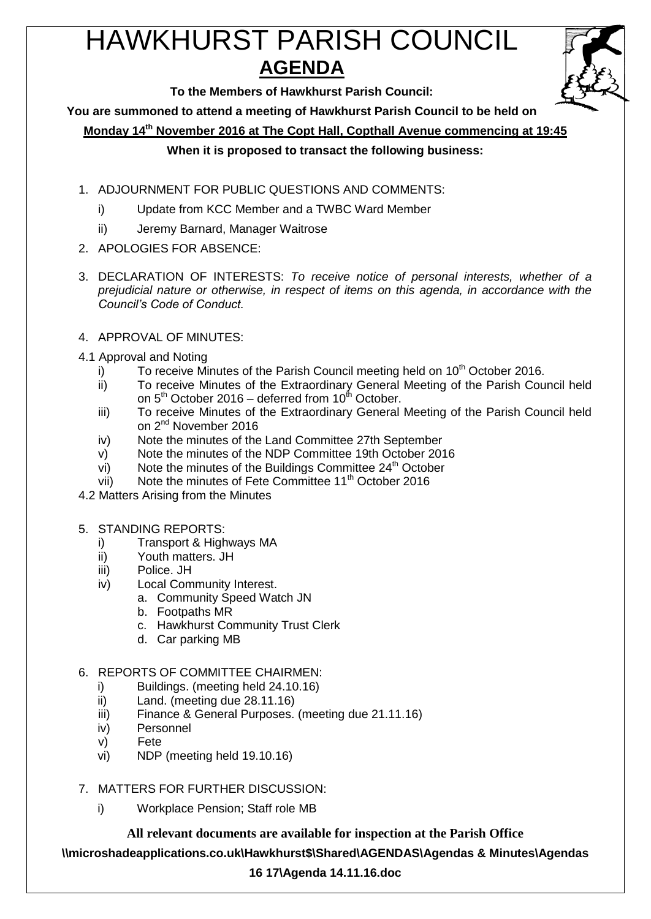# HAWKHURST PARISH COUNCIL **AGENDA**



**To the Members of Hawkhurst Parish Council:**

**You are summoned to attend a meeting of Hawkhurst Parish Council to be held on**

**Monday 14th November 2016 at The Copt Hall, Copthall Avenue commencing at 19:45**

## **When it is proposed to transact the following business:**

- 1. ADJOURNMENT FOR PUBLIC QUESTIONS AND COMMENTS:
	- i) Update from KCC Member and a TWBC Ward Member
	- ii) Jeremy Barnard, Manager Waitrose
- 2. APOLOGIES FOR ABSENCE:
- 3. DECLARATION OF INTERESTS: *To receive notice of personal interests, whether of a prejudicial nature or otherwise, in respect of items on this agenda, in accordance with the Council's Code of Conduct.*
- 4. APPROVAL OF MINUTES:
- 4.1 Approval and Noting
	- i) To receive Minutes of the Parish Council meeting held on  $10<sup>th</sup>$  October 2016.
	- ii) To receive Minutes of the Extraordinary General Meeting of the Parish Council held on  $5<sup>th</sup>$  October 2016 – deferred from 10 $<sup>th</sup>$  October.</sup>
	- iii) To receive Minutes of the Extraordinary General Meeting of the Parish Council held on 2nd November 2016
	- iv) Note the minutes of the Land Committee 27th September
	- v) Note the minutes of the NDP Committee 19th October 2016
	- vi) Note the minutes of the Buildings Committee  $24<sup>th</sup>$  October
	- vii) Note the minutes of Fete Committee 11<sup>th</sup> October 2016
- 4.2 Matters Arising from the Minutes
- 5. STANDING REPORTS:
	- i) Transport & Highways MA<br>ii) Youth matters. JH
	- Youth matters. JH
	- iii) Police. JH
	- iv) Local Community Interest.
		- a. Community Speed Watch JN
			- b. Footpaths MR
			- c. Hawkhurst Community Trust Clerk
		- d. Car parking MB
- 6. REPORTS OF COMMITTEE CHAIRMEN:
	- i) Buildings. (meeting held 24.10.16)
	- ii) Land. (meeting due 28.11.16)
	- iii) Finance & General Purposes. (meeting due 21.11.16)
	- iv) Personnel
	- v) Fete
	- vi) NDP (meeting held 19.10.16)
- 7. MATTERS FOR FURTHER DISCUSSION:
	- i) Workplace Pension; Staff role MB

**All relevant documents are available for inspection at the Parish Office**

**\\microshadeapplications.co.uk\Hawkhurst\$\Shared\AGENDAS\Agendas & Minutes\Agendas** 

## **16 17\Agenda 14.11.16.doc**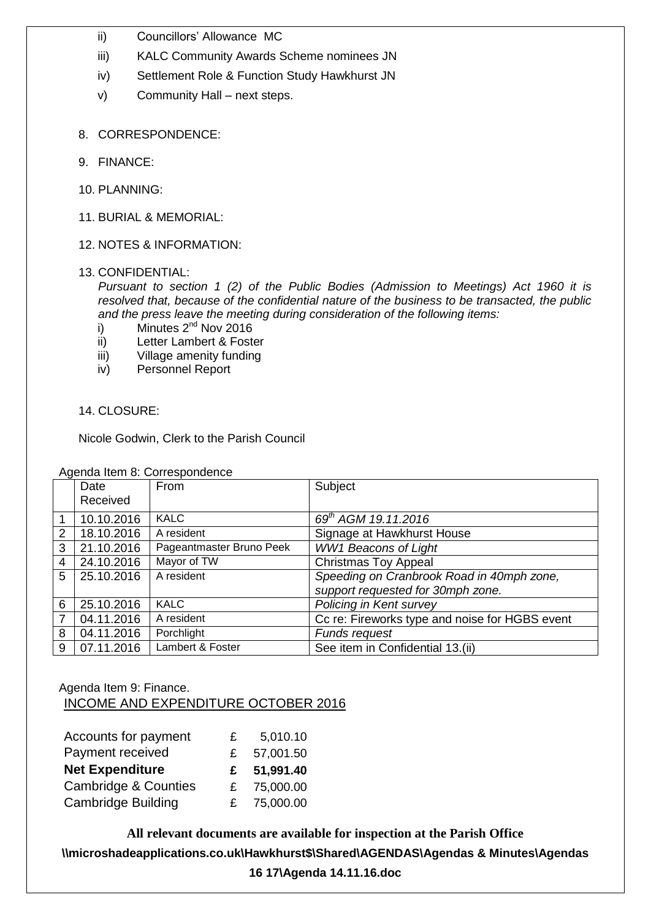- ii) Councillors' Allowance MC
- iii) KALC Community Awards Scheme nominees JN
- iv) Settlement Role & Function Study Hawkhurst JN
- v) Community Hall next steps.
- 8. CORRESPONDENCE:
- 9. FINANCE:
- 10. PLANNING:
- 11. BURIAL & MEMORIAL:
- 12. NOTES & INFORMATION:
- 13. CONFIDENTIAL:

*Pursuant to section 1 (2) of the Public Bodies (Admission to Meetings) Act 1960 it is resolved that, because of the confidential nature of the business to be transacted, the public and the press leave the meeting during consideration of the following items:*

- i) Minutes  $2^{nd}$  Nov 2016
- ii) Letter Lambert & Foster
- iii) Village amenity funding
- iv) Personnel Report

## 14. CLOSURE:

Nicole Godwin, Clerk to the Parish Council

|   | Date       | From                     | Subject                                        |  |  |
|---|------------|--------------------------|------------------------------------------------|--|--|
|   | Received   |                          |                                                |  |  |
|   | 10.10.2016 | <b>KALC</b>              | 69 <sup>th</sup> AGM 19.11.2016                |  |  |
| 2 | 18.10.2016 | A resident               | Signage at Hawkhurst House                     |  |  |
| 3 | 21.10.2016 | Pageantmaster Bruno Peek | <b>WW1 Beacons of Light</b>                    |  |  |
| 4 | 24.10.2016 | Mayor of TW              | <b>Christmas Toy Appeal</b>                    |  |  |
| 5 | 25.10.2016 | A resident               | Speeding on Cranbrook Road in 40mph zone,      |  |  |
|   |            |                          | support requested for 30mph zone.              |  |  |
| 6 | 25.10.2016 | <b>KALC</b>              | Policing in Kent survey                        |  |  |
|   | 04.11.2016 | A resident               | Cc re: Fireworks type and noise for HGBS event |  |  |
| 8 | 04.11.2016 | Porchlight               | Funds request                                  |  |  |
| 9 | 07.11.2016 | Lambert & Foster         | See item in Confidential 13.(ii)               |  |  |

Agenda Item 8: Correspondence

## Agenda Item 9: Finance. INCOME AND EXPENDITURE OCTOBER 2016

| Accounts for payment            | £  | 5,010.10  |
|---------------------------------|----|-----------|
| Payment received                | £  | 57,001.50 |
| <b>Net Expenditure</b>          | £  | 51,991.40 |
| <b>Cambridge &amp; Counties</b> | £. | 75,000.00 |
| <b>Cambridge Building</b>       | £. | 75,000.00 |

**All relevant documents are available for inspection at the Parish Office \\microshadeapplications.co.uk\Hawkhurst\$\Shared\AGENDAS\Agendas & Minutes\Agendas** 

**16 17\Agenda 14.11.16.doc**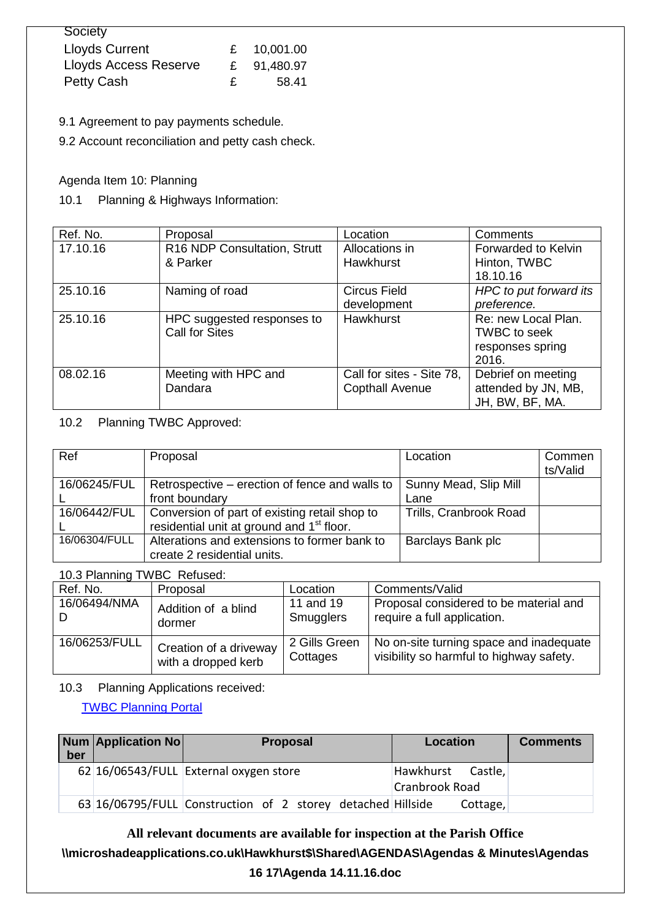| Society                      |    |             |
|------------------------------|----|-------------|
| <b>Lloyds Current</b>        |    | £ 10,001.00 |
| <b>Lloyds Access Reserve</b> | £  | 91,480.97   |
| Petty Cash                   | £. | 58.41       |

9.1 Agreement to pay payments schedule.

9.2 Account reconciliation and petty cash check.

#### Agenda Item 10: Planning

#### 10.1 Planning & Highways Information:

| Ref. No. | Proposal                     | Location                  | Comments               |
|----------|------------------------------|---------------------------|------------------------|
| 17.10.16 | R16 NDP Consultation, Strutt | Allocations in            | Forwarded to Kelvin    |
|          | & Parker                     | Hawkhurst                 | Hinton, TWBC           |
|          |                              |                           | 18.10.16               |
| 25.10.16 | Naming of road               | <b>Circus Field</b>       | HPC to put forward its |
|          |                              | development               | preference.            |
| 25.10.16 | HPC suggested responses to   | Hawkhurst                 | Re: new Local Plan.    |
|          | <b>Call for Sites</b>        |                           | <b>TWBC</b> to seek    |
|          |                              |                           | responses spring       |
|          |                              |                           | 2016.                  |
| 08.02.16 | Meeting with HPC and         | Call for sites - Site 78, | Debrief on meeting     |
|          | Dandara                      | <b>Copthall Avenue</b>    | attended by JN, MB,    |
|          |                              |                           | JH, BW, BF, MA.        |

#### 10.2 Planning TWBC Approved:

| Ref           | Proposal                                              | Location               | Commen   |
|---------------|-------------------------------------------------------|------------------------|----------|
|               |                                                       |                        | ts/Valid |
| 16/06245/FUL  | Retrospective – erection of fence and walls to        | Sunny Mead, Slip Mill  |          |
|               | front boundary                                        | Lane                   |          |
| 16/06442/FUL  | Conversion of part of existing retail shop to         | Trills, Cranbrook Road |          |
|               | residential unit at ground and 1 <sup>st</sup> floor. |                        |          |
| 16/06304/FULL | Alterations and extensions to former bank to          | Barclays Bank plc      |          |
|               | create 2 residential units.                           |                        |          |

10.3 Planning TWBC Refused:

| Ref. No.      | Proposal               | Location      | Comments/Valid                           |  |
|---------------|------------------------|---------------|------------------------------------------|--|
| 16/06494/NMA  | Addition of a blind    | 11 and 19     | Proposal considered to be material and   |  |
|               | dormer                 | Smugglers     | require a full application.              |  |
| 16/06253/FULL | Creation of a driveway | 2 Gills Green | No on-site turning space and inadequate  |  |
|               | with a dropped kerb    | Cottages      | visibility so harmful to highway safety. |  |

10.3 Planning Applications received:

[TWBC Planning Portal](http://www.tunbridgewells.gov.uk/residents/planning/planning-application-search)

| ber | <b>Num Application No</b> | <b>Proposal</b>                                             | <b>Location</b>                     | <b>Comments</b> |
|-----|---------------------------|-------------------------------------------------------------|-------------------------------------|-----------------|
|     |                           | 62 16/06543/FULL External oxygen store                      | Hawkhurst Castle,<br>Cranbrook Road |                 |
|     |                           | 63 16/06795/FULL Construction of 2 storey detached Hillside | Cottage,                            |                 |

**All relevant documents are available for inspection at the Parish Office \\microshadeapplications.co.uk\Hawkhurst\$\Shared\AGENDAS\Agendas & Minutes\Agendas** 

#### **16 17\Agenda 14.11.16.doc**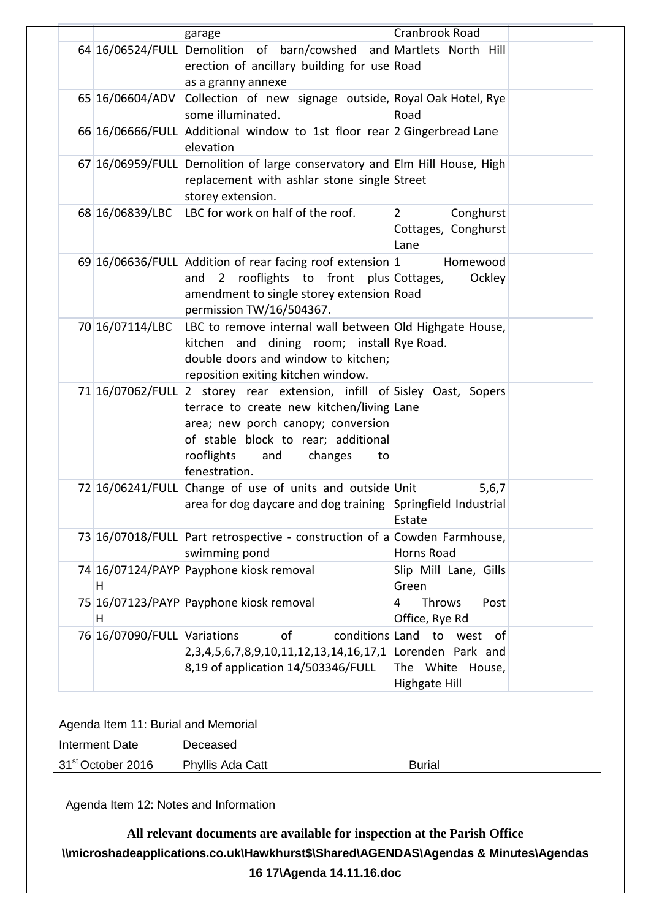|                             | garage                                                                                                                                                                                                                                                   | Cranbrook Road                                             |  |
|-----------------------------|----------------------------------------------------------------------------------------------------------------------------------------------------------------------------------------------------------------------------------------------------------|------------------------------------------------------------|--|
|                             | 64 16/06524/FULL Demolition of barn/cowshed and Martlets North Hill<br>erection of ancillary building for use Road<br>as a granny annexe                                                                                                                 |                                                            |  |
| 65 16/06604/ADV             | Collection of new signage outside, Royal Oak Hotel, Rye<br>some illuminated.                                                                                                                                                                             | Road                                                       |  |
|                             | 66 16/06666/FULL Additional window to 1st floor rear 2 Gingerbread Lane<br>elevation                                                                                                                                                                     |                                                            |  |
|                             | 67 16/06959/FULL Demolition of large conservatory and Elm Hill House, High<br>replacement with ashlar stone single Street<br>storey extension.                                                                                                           |                                                            |  |
| 68 16/06839/LBC             | LBC for work on half of the roof.                                                                                                                                                                                                                        | $\overline{2}$<br>Conghurst<br>Cottages, Conghurst<br>Lane |  |
|                             | 69 16/06636/FULL Addition of rear facing roof extension 1<br>2 rooflights to front plus Cottages,<br>and<br>amendment to single storey extension Road<br>permission TW/16/504367.                                                                        | Homewood<br>Ockley                                         |  |
| 70 16/07114/LBC             | LBC to remove internal wall between Old Highgate House,<br>kitchen and dining room; install Rye Road.<br>double doors and window to kitchen;<br>reposition exiting kitchen window.                                                                       |                                                            |  |
|                             | 71 16/07062/FULL 2 storey rear extension, infill of Sisley Oast, Sopers<br>terrace to create new kitchen/living Lane<br>area; new porch canopy; conversion<br>of stable block to rear; additional<br>rooflights<br>changes<br>and<br>to<br>fenestration. |                                                            |  |
|                             | 72 16/06241/FULL Change of use of units and outside Unit<br>area for dog daycare and dog training Springfield Industrial                                                                                                                                 | 5,6,7<br>Estate                                            |  |
|                             | 73 16/07018/FULL Part retrospective - construction of a Cowden Farmhouse,<br>swimming pond                                                                                                                                                               | Horns Road                                                 |  |
| H                           | 74 16/07124/PAYP Payphone kiosk removal                                                                                                                                                                                                                  | Slip Mill Lane, Gills<br>Green                             |  |
| H                           | 75 16/07123/PAYP Payphone kiosk removal                                                                                                                                                                                                                  | Throws<br>Post<br>4<br>Office, Rye Rd                      |  |
| 76 16/07090/FULL Variations | of<br>conditions Land<br>2,3,4,5,6,7,8,9,10,11,12,13,14,16,17,1 Lorenden Park and<br>8,19 of application 14/503346/FULL                                                                                                                                  | to<br>west<br>οf<br>The White House,<br>Highgate Hill      |  |

## Agenda Item 11: Burial and Memorial

| Interment Date                | Deceased         |               |
|-------------------------------|------------------|---------------|
| 31 <sup>st</sup> October 2016 | Phyllis Ada Catt | <b>Burial</b> |

Agenda Item 12: Notes and Information

**All relevant documents are available for inspection at the Parish Office \\microshadeapplications.co.uk\Hawkhurst\$\Shared\AGENDAS\Agendas & Minutes\Agendas 16 17\Agenda 14.11.16.doc**